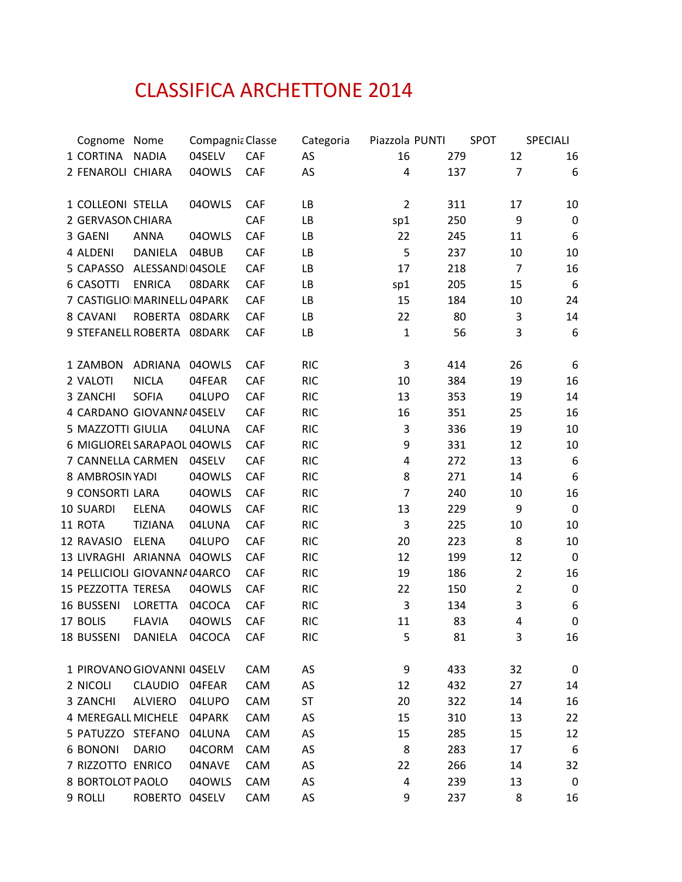## CLASSIFICA ARCHETTONE 2014

| Cognome Nome                  |                 | Compagnia Classe |     | Categoria  | Piazzola PUNTI | SPOT |                | SPECIALI         |
|-------------------------------|-----------------|------------------|-----|------------|----------------|------|----------------|------------------|
| 1 CORTINA                     | <b>NADIA</b>    | 04SELV           | CAF | AS         | 16             | 279  | 12             | 16               |
| 2 FENAROLI CHIARA             |                 | 04OWLS           | CAF | AS         | 4              | 137  | $\overline{7}$ | 6                |
| 1 COLLEONI STELLA             |                 | 04OWLS           | CAF | LB         | $\overline{2}$ | 311  | 17             | 10               |
| 2 GERVASON CHIARA             |                 |                  | CAF | LB         | sp1            | 250  | 9              | $\boldsymbol{0}$ |
| 3 GAENI                       | <b>ANNA</b>     | 04OWLS           | CAF | LB         | 22             | 245  | 11             | 6                |
| 4 ALDENI                      | DANIELA         | 04BUB            | CAF | LB         | 5              | 237  | 10             | 10               |
| 5 CAPASSO                     | ALESSANDI04SOLE |                  | CAF | LB         | 17             | 218  | $\overline{7}$ | 16               |
| 6 CASOTTI                     | <b>ENRICA</b>   | 08DARK           | CAF | LB         | sp1            | 205  | 15             | 6                |
| 7 CASTIGLIO MARINELL 04PARK   |                 |                  | CAF | LB         | 15             | 184  | 10             | 24               |
| 8 CAVANI                      | ROBERTA 08DARK  |                  | CAF | LB         | 22             | 80   | 3              | 14               |
| 9 STEFANELL ROBERTA 08DARK    |                 |                  | CAF | LB         | $\mathbf{1}$   | 56   | 3              | 6                |
| 1 ZAMBON                      | ADRIANA         | 04OWLS           | CAF | <b>RIC</b> | $\mathbf{3}$   | 414  | 26             | 6                |
| 2 VALOTI                      | <b>NICLA</b>    | 04FEAR           | CAF | <b>RIC</b> | 10             | 384  | 19             | 16               |
| 3 ZANCHI                      | <b>SOFIA</b>    | 04LUPO           | CAF | <b>RIC</b> | 13             | 353  | 19             | 14               |
| 4 CARDANO GIOVANNA 04SELV     |                 |                  | CAF | <b>RIC</b> | 16             | 351  | 25             | 16               |
| 5 MAZZOTTI GIULIA             |                 | 04LUNA           | CAF | <b>RIC</b> | 3              | 336  | 19             | 10               |
| 6 MIGLIOREL SARAPAOL 040WLS   |                 |                  | CAF | <b>RIC</b> | 9              | 331  | 12             | 10               |
| 7 CANNELLA CARMEN             |                 | 04SELV           | CAF | <b>RIC</b> | 4              | 272  | 13             | 6                |
| 8 AMBROSINYADI                |                 | 040WLS           | CAF | <b>RIC</b> | 8              | 271  | 14             | $\boldsymbol{6}$ |
| 9 CONSORTI LARA               |                 | 04OWLS           | CAF | <b>RIC</b> | 7              | 240  | 10             | 16               |
| 10 SUARDI                     | <b>ELENA</b>    | 040WLS           | CAF | <b>RIC</b> | 13             | 229  | 9              | $\mathbf 0$      |
| 11 ROTA                       | <b>TIZIANA</b>  | 04LUNA           | CAF | <b>RIC</b> | $\mathsf 3$    | 225  | 10             | 10               |
| 12 RAVASIO                    | <b>ELENA</b>    | 04LUPO           | CAF | <b>RIC</b> | 20             | 223  | 8              | 10               |
| 13 LIVRAGHI ARIANNA           |                 | 040WLS           | CAF | <b>RIC</b> | 12             | 199  | 12             | $\mathbf 0$      |
| 14 PELLICIOLI GIOVANNA 04ARCO |                 |                  | CAF | <b>RIC</b> | 19             | 186  | $\overline{2}$ | 16               |
| 15 PEZZOTTA TERESA            |                 | 04OWLS           | CAF | <b>RIC</b> | 22             | 150  | $\overline{2}$ | $\pmb{0}$        |
| 16 BUSSENI                    | <b>LORETTA</b>  | 04COCA           | CAF | <b>RIC</b> | 3              | 134  | 3              | 6                |
| 17 BOLIS                      | <b>FLAVIA</b>   | 04OWLS           | CAF | <b>RIC</b> | 11             | 83   | 4              | $\mathbf 0$      |
| 18 BUSSENI                    | DANIELA         | 04COCA           | CAF | <b>RIC</b> | 5              | 81   | 3              | 16               |
| 1 PIROVANO GIOVANNI 04SELV    |                 |                  | CAM | AS         | 9              | 433  | 32             | 0                |
| 2 NICOLI                      | <b>CLAUDIO</b>  | 04FEAR           | CAM | AS         | 12             | 432  | 27             | 14               |
| 3 ZANCHI                      | <b>ALVIERO</b>  | 04LUPO           | CAM | <b>ST</b>  | 20             | 322  | 14             | 16               |
| 4 MEREGALL MICHELE            |                 | 04PARK           | CAM | AS         | 15             | 310  | 13             | 22               |
| 5 PATUZZO STEFANO             |                 | 04LUNA           | CAM | AS         | 15             | 285  | 15             | 12               |
| 6 BONONI                      | <b>DARIO</b>    | 04CORM           | CAM | AS         | 8              | 283  | 17             | 6                |
| 7 RIZZOTTO ENRICO             |                 | 04NAVE           | CAM | AS         | 22             | 266  | 14             | 32               |
| 8 BORTOLOT PAOLO              |                 | 040WLS           | CAM | AS         | 4              | 239  | 13             | 0                |
| 9 ROLLI                       | ROBERTO 04SELV  |                  | CAM | AS         | 9              | 237  | 8              | 16               |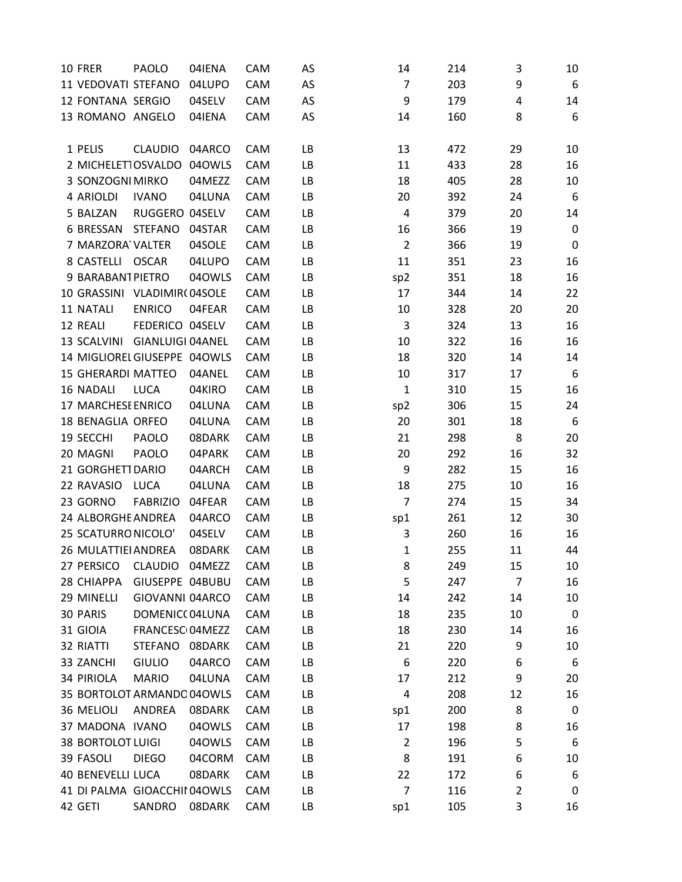| 10 FRER                      | PAOLO                       | 04IENA | CAM | AS | 14              | 214 | 3              | 10        |
|------------------------------|-----------------------------|--------|-----|----|-----------------|-----|----------------|-----------|
| 11 VEDOVATI STEFANO          |                             | 04LUPO | CAM | AS | $\overline{7}$  | 203 | 9              | 6         |
| 12 FONTANA SERGIO            |                             | 04SELV | CAM | AS | 9               | 179 | 4              | 14        |
| 13 ROMANO ANGELO             |                             | 04IENA | CAM | AS | 14              | 160 | 8              | 6         |
|                              |                             |        |     |    |                 |     |                |           |
| 1 PELIS                      | <b>CLAUDIO</b>              | 04ARCO | CAM | LB | 13              | 472 | 29             | 10        |
| 2 MICHELET1OSVALDO 040WLS    |                             |        | CAM | LB | 11              | 433 | 28             | 16        |
| 3 SONZOGNI MIRKO             |                             | 04MEZZ | CAM | LB | 18              | 405 | 28             | 10        |
| 4 ARIOLDI                    | <b>IVANO</b>                | 04LUNA | CAM | LB | 20              | 392 | 24             | 6         |
| 5 BALZAN                     | RUGGERO 04SELV              |        | CAM | LB | 4               | 379 | 20             | 14        |
| 6 BRESSAN                    | <b>STEFANO</b>              | 04STAR | CAM | LB | 16              | 366 | 19             | 0         |
| 7 MARZORA VALTER             |                             | 04SOLE | CAM | LB | $\overline{2}$  | 366 | 19             | 0         |
| 8 CASTELLI                   | <b>OSCAR</b>                | 04LUPO | CAM | LB | 11              | 351 | 23             | 16        |
| 9 BARABANT PIETRO            |                             | 040WLS | CAM | LB | sp <sub>2</sub> | 351 | 18             | 16        |
| 10 GRASSINI VLADIMIR(04SOLE  |                             |        | CAM | LB | 17              | 344 | 14             | 22        |
| 11 NATALI                    | <b>ENRICO</b>               | 04FEAR | CAM | LB | 10              | 328 | 20             | 20        |
| 12 REALI                     | FEDERICO 04SELV             |        | CAM | LB | $\mathsf 3$     | 324 | 13             | 16        |
| 13 SCALVINI GIANLUIGI 04ANEL |                             |        | CAM | LB | 10              | 322 | 16             | 16        |
| 14 MIGLIOREL GIUSEPPE 040WLS |                             |        | CAM | LB | 18              | 320 | 14             | 14        |
| <b>15 GHERARDI MATTEO</b>    |                             | 04ANEL | CAM | LB | 10              | 317 | 17             | 6         |
| <b>16 NADALI</b>             | <b>LUCA</b>                 | 04KIRO | CAM | LB | $\mathbf{1}$    | 310 | 15             | 16        |
| 17 MARCHESE ENRICO           |                             | 04LUNA | CAM | LB | sp <sub>2</sub> | 306 | 15             | 24        |
| 18 BENAGLIA ORFEO            |                             | 04LUNA | CAM | LB | 20              | 301 | 18             | 6         |
| 19 SECCHI                    | <b>PAOLO</b>                | 08DARK | CAM | LB | 21              | 298 | 8              | 20        |
| 20 MAGNI                     | <b>PAOLO</b>                | 04PARK | CAM | LB | 20              | 292 | 16             | 32        |
| 21 GORGHETT DARIO            |                             | 04ARCH | CAM | LB | 9               | 282 | 15             | 16        |
| 22 RAVASIO                   | LUCA                        | 04LUNA | CAM | LB | 18              | 275 | 10             | 16        |
| 23 GORNO                     | <b>FABRIZIO</b>             | 04FEAR | CAM | LB | $\overline{7}$  | 274 | 15             | 34        |
| 24 ALBORGHE ANDREA           |                             | 04ARCO | CAM | LB | sp1             | 261 | 12             | 30        |
| 25 SCATURRO NICOLO'          |                             | 04SELV | CAM | LB | 3               | 260 | 16             | 16        |
| 26 MULATTIEI ANDREA          |                             | 08DARK | CAM | LB | 1               | 255 | 11             | 44        |
| 27 PERSICO                   | CLAUDIO 04MEZZ              |        | CAM | LB | 8               | 249 | 15             | 10        |
| 28 CHIAPPA                   | GIUSEPPE 04BUBU             |        | CAM | LB | 5               | 247 | $\overline{7}$ | 16        |
| 29 MINELLI                   | GIOVANNI 04ARCO             |        | CAM | LB | 14              | 242 | 14             | 10        |
| 30 PARIS                     | DOMENIC(04LUNA              |        | CAM | LB | 18              | 235 | 10             | $\pmb{0}$ |
| 31 GIOIA                     | FRANCESC <sub>104MEZZ</sub> |        | CAM | LB | 18              | 230 | 14             | 16        |
| 32 RIATTI                    | STEFANO 08DARK              |        | CAM | LB | 21              | 220 | 9              | 10        |
| 33 ZANCHI                    | <b>GIULIO</b>               | 04ARCO | CAM | LB | 6               | 220 | 6              | 6         |
| 34 PIRIOLA                   | <b>MARIO</b>                | 04LUNA | CAM | LB | 17              | 212 | 9              | 20        |
| 35 BORTOLOT ARMANDO 040WLS   |                             |        | CAM | LB | 4               | 208 | 12             | 16        |
| 36 MELIOLI                   | ANDREA                      | 08DARK | CAM | LB | sp1             | 200 | 8              | 0         |
| 37 MADONA IVANO              |                             | 040WLS | CAM | LB | 17              | 198 | 8              | 16        |
| <b>38 BORTOLOT LUIGI</b>     |                             | 04OWLS | CAM | LB | $\overline{2}$  | 196 | 5              | 6         |
| 39 FASOLI                    | <b>DIEGO</b>                | 04CORM | CAM | LB | 8               | 191 | 6              | 10        |
| 40 BENEVELLI LUCA            |                             | 08DARK | CAM | LB | 22              | 172 | 6              | 6         |
| 41 DI PALMA GIOACCHII 040WLS |                             |        | CAM | LB | $\overline{7}$  | 116 | 2              | 0         |
| 42 GETI                      | SANDRO                      | 08DARK | CAM | LB | sp1             | 105 | 3              | 16        |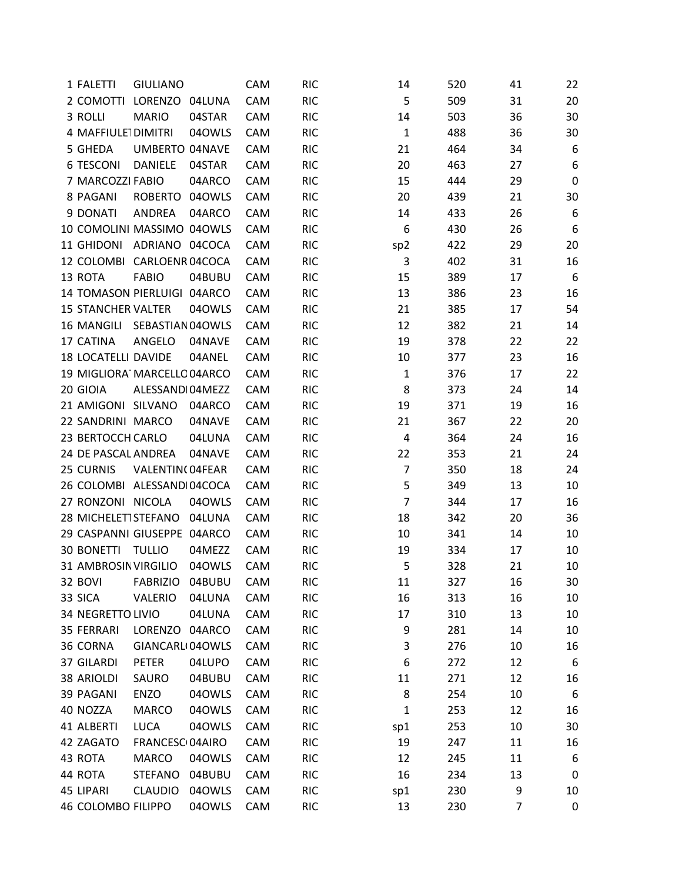| 1 FALETTI                   | <b>GIULIANO</b>            |        | CAM | <b>RIC</b> | 14              | 520 | 41             | 22          |
|-----------------------------|----------------------------|--------|-----|------------|-----------------|-----|----------------|-------------|
| 2 COMOTTI LORENZO 04LUNA    |                            |        | CAM | <b>RIC</b> | 5               | 509 | 31             | 20          |
| 3 ROLLI                     | <b>MARIO</b>               | 04STAR | CAM | <b>RIC</b> | 14              | 503 | 36             | 30          |
| 4 MAFFIULE1DIMITRI          |                            | 040WLS | CAM | <b>RIC</b> | $\mathbf 1$     | 488 | 36             | 30          |
| 5 GHEDA                     | <b>UMBERTO 04NAVE</b>      |        | CAM | <b>RIC</b> | 21              | 464 | 34             | 6           |
| <b>6 TESCONI</b>            | <b>DANIELE</b>             | 04STAR | CAM | <b>RIC</b> | 20              | 463 | 27             | 6           |
| 7 MARCOZZI FABIO            |                            | 04ARCO | CAM | <b>RIC</b> | 15              | 444 | 29             | $\mathbf 0$ |
| 8 PAGANI                    | ROBERTO 04OWLS             |        | CAM | <b>RIC</b> | 20              | 439 | 21             | 30          |
| 9 DONATI                    | ANDREA                     | 04ARCO | CAM | <b>RIC</b> | 14              | 433 | 26             | 6           |
| 10 COMOLINI MASSIMO 040WLS  |                            |        | CAM | <b>RIC</b> | 6               | 430 | 26             | 6           |
| 11 GHIDONI                  | ADRIANO 04COCA             |        | CAM | <b>RIC</b> | sp <sub>2</sub> | 422 | 29             | 20          |
| 12 COLOMBI CARLOENR 04COCA  |                            |        | CAM | <b>RIC</b> | 3               | 402 | 31             | 16          |
| 13 ROTA                     | <b>FABIO</b>               | 04BUBU | CAM | <b>RIC</b> | 15              | 389 | 17             | 6           |
| 14 TOMASON PIERLUIGI 04ARCO |                            |        | CAM | <b>RIC</b> | 13              | 386 | 23             | 16          |
| <b>15 STANCHER VALTER</b>   |                            | 040WLS | CAM | <b>RIC</b> | 21              | 385 | 17             | 54          |
| 16 MANGILI                  | SEBASTIAN 04OWLS           |        | CAM | <b>RIC</b> | 12              | 382 | 21             | 14          |
| 17 CATINA                   | ANGELO                     | 04NAVE | CAM | <b>RIC</b> | 19              | 378 | 22             | 22          |
| <b>18 LOCATELLI DAVIDE</b>  |                            | 04ANEL | CAM | <b>RIC</b> | 10              | 377 | 23             | 16          |
| 19 MIGLIORA MARCELLO 04ARCO |                            |        | CAM | <b>RIC</b> | $\mathbf{1}$    | 376 | 17             | 22          |
| 20 GIOIA                    | ALESSANDI04MEZZ            |        | CAM | <b>RIC</b> | 8               | 373 | 24             | 14          |
| 21 AMIGONI SILVANO          |                            | 04ARCO | CAM | <b>RIC</b> | 19              | 371 | 19             | 16          |
| 22 SANDRINI MARCO           |                            | 04NAVE | CAM | <b>RIC</b> | 21              | 367 | 22             | 20          |
| 23 BERTOCCH CARLO           |                            | 04LUNA | CAM | <b>RIC</b> | $\overline{4}$  | 364 | 24             | 16          |
| 24 DE PASCAL ANDREA         |                            | 04NAVE | CAM | <b>RIC</b> | 22              | 353 | 21             | 24          |
| 25 CURNIS                   | VALENTIN(04FEAR            |        | CAM | <b>RIC</b> | $\overline{7}$  | 350 | 18             | 24          |
| 26 COLOMBI ALESSANDI04COCA  |                            |        | CAM | <b>RIC</b> | 5               | 349 | 13             | 10          |
| 27 RONZONI NICOLA           |                            | 040WLS | CAM | <b>RIC</b> | $\overline{7}$  | 344 | 17             | 16          |
| 28 MICHELETISTEFANO 04LUNA  |                            |        | CAM | <b>RIC</b> | 18              | 342 | 20             | 36          |
| 29 CASPANNI GIUSEPPE 04ARCO |                            |        | CAM | <b>RIC</b> | 10              | 341 | 14             | 10          |
| <b>30 BONETTI</b>           | <b>TULLIO</b>              | 04MEZZ | CAM | <b>RIC</b> | 19              | 334 | 17             | 10          |
| 31 AMBROSIN VIRGILIO        |                            | 040WLS | CAM | <b>RIC</b> | 5               | 328 | 21             | 10          |
| 32 BOVI                     | <b>FABRIZIO</b>            | 04BUBU | CAM | <b>RIC</b> | 11              | 327 | 16             | 30          |
| 33 SICA                     | VALERIO                    | 04LUNA | CAM | <b>RIC</b> | 16              | 313 | 16             | 10          |
| 34 NEGRETTO LIVIO           |                            | 04LUNA | CAM | <b>RIC</b> | 17              | 310 | 13             | 10          |
| 35 FERRARI                  | LORENZO 04ARCO             |        | CAM | <b>RIC</b> | 9               | 281 | 14             | 10          |
| 36 CORNA                    | GIANCARL 040WLS            |        | CAM | <b>RIC</b> | 3               | 276 | 10             | 16          |
| 37 GILARDI                  | PETER                      | 04LUPO | CAM | <b>RIC</b> | 6               | 272 | 12             | 6           |
| 38 ARIOLDI                  | SAURO                      | 04BUBU | CAM | <b>RIC</b> | 11              | 271 | 12             | 16          |
| 39 PAGANI                   | ENZO                       | 040WLS | CAM | <b>RIC</b> | 8               | 254 | 10             | 6           |
| 40 NOZZA                    | <b>MARCO</b>               | 040WLS | CAM | <b>RIC</b> | $\mathbf{1}$    | 253 | 12             | 16          |
| 41 ALBERTI                  | <b>LUCA</b>                | 040WLS | CAM | <b>RIC</b> | sp1             | 253 | 10             | 30          |
| 42 ZAGATO                   | FRANCESC <sub>04AIRO</sub> |        | CAM | <b>RIC</b> | 19              | 247 | 11             | 16          |
| 43 ROTA                     | <b>MARCO</b>               | 040WLS | CAM | <b>RIC</b> | 12              | 245 | 11             | 6           |
| 44 ROTA                     | <b>STEFANO</b>             | 04BUBU | CAM | <b>RIC</b> | 16              | 234 | 13             | 0           |
| 45 LIPARI                   | <b>CLAUDIO</b>             | 040WLS | CAM | <b>RIC</b> | sp1             | 230 | 9              | 10          |
| 46 COLOMBO FILIPPO          |                            | 04OWLS | CAM | <b>RIC</b> | 13              | 230 | $\overline{7}$ | 0           |